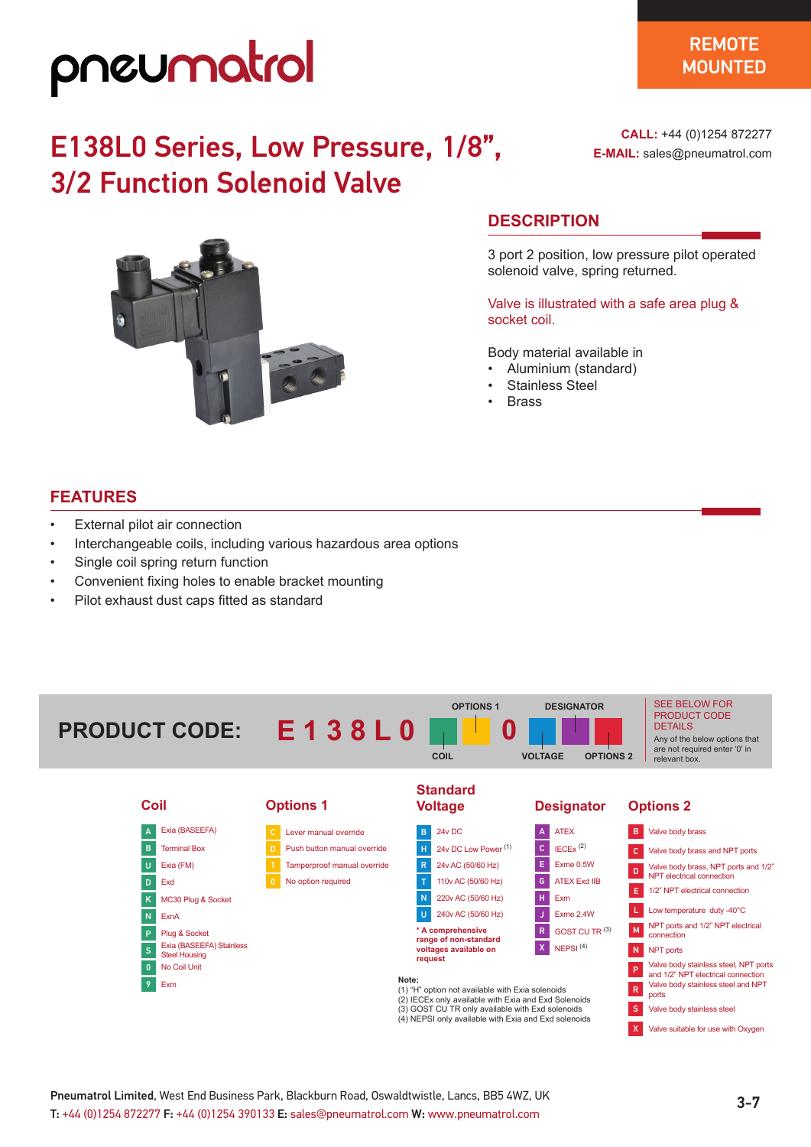## pneumatrol

### E138L0 Series, Low Pressure, 1/8", 3/2 Function Solenoid Valve



**CALL:** +44 (0)1254 872277 **E-MAIL:** sales@pneumatrol.com

#### **DESCRIPTION**

3 port 2 position, low pressure pilot operated solenoid valve, spring returned.

Valve is illustrated with a safe area plug & socket coil.

Body material available in

- Aluminium (standard)
- Stainless Steel
- Brass

#### **FEATURES**

- External pilot air connection
- Interchangeable coils, including various hazardous area options
- Single coil spring return function
- Convenient fixing holes to enable bracket mounting
- Pilot exhaust dust caps fitted as standard



| Coil         |                                                  | <b>Options 1</b> |                                                      | <b>Voltage</b>                                                                                                    |                                 | <b>Designator</b>         |                        | <b>Options 2</b>                                |                                                                                                                                            |  |
|--------------|--------------------------------------------------|------------------|------------------------------------------------------|-------------------------------------------------------------------------------------------------------------------|---------------------------------|---------------------------|------------------------|-------------------------------------------------|--------------------------------------------------------------------------------------------------------------------------------------------|--|
|              | Exia (BASEEFA)                                   |                  | Lever manual override                                | B.                                                                                                                | 24v DC                          |                           | <b>ATEX</b>            | B.                                              | Valve body brass                                                                                                                           |  |
| B            | <b>Terminal Box</b>                              |                  | Push button manual override                          |                                                                                                                   | 24y DC Low Power <sup>(1)</sup> | $\mathbf{C}$              | $IECEx$ <sup>(2)</sup> | $\mathbf{C}$                                    | Valve body brass and NPT ports                                                                                                             |  |
| U            | Exia (FM)                                        |                  | Tamperproof manual override                          |                                                                                                                   | 24v AC (50/60 Hz)               | Е                         | Exme 0.5W              | D                                               | Valve body brass, NPT ports and 1/2"                                                                                                       |  |
| $\mathbf{D}$ | Exd                                              | $\mathbf{0}$     | No option required                                   |                                                                                                                   | 110v AC (50/60 Hz)              | G                         | <b>ATEX Exd IIB</b>    |                                                 | NPT electrical connection                                                                                                                  |  |
| K            | MC30 Plug & Socket                               |                  |                                                      |                                                                                                                   | 220v AC (50/60 Hz)              | н                         | Exm                    | E.                                              | 1/2" NPT electrical connection                                                                                                             |  |
| N            | ExnA                                             |                  |                                                      |                                                                                                                   | 240v AC (50/60 Hz)              |                           | Exme 2.4W              |                                                 | Low temperature duty -40°C                                                                                                                 |  |
| P            | Plug & Socket                                    |                  | * A comprehensive<br>range of non-standard           |                                                                                                                   |                                 | GOST CU TR <sup>(3)</sup> | M                      | NPT ports and 1/2" NPT electrical<br>connection |                                                                                                                                            |  |
| ls,          | Exia (BASEEFA) Stainless<br><b>Steel Housing</b> |                  |                                                      |                                                                                                                   | voltages available on           | $\mathsf{X}$              | NEPSI $(4)$            | N                                               | NPT ports                                                                                                                                  |  |
| $\mathbf{0}$ | No Coil Unit                                     |                  |                                                      |                                                                                                                   | request                         |                           |                        | P                                               | Valve body stainless steel, NPT ports<br>and 1/2" NPT electrical connection<br>Valve body stainless steel and NPT<br>$\mathsf{R}$<br>ports |  |
|              | 9 <sup>1</sup><br>Exm                            |                  |                                                      | Note:<br>(1) "H" option not available with Exia solenoids<br>(2) IECEx only available with Exia and Exd Solenoids |                                 |                           |                        |                                                 |                                                                                                                                            |  |
|              |                                                  |                  |                                                      | (3) GOST CU TR only available with Exd solenoids                                                                  |                                 |                           | s.                     | Valve body stainless steel                      |                                                                                                                                            |  |
|              |                                                  |                  | (4) NEPSI only available with Exia and Exd solenoids |                                                                                                                   |                                 |                           |                        |                                                 |                                                                                                                                            |  |

3-7 Pneumatrol Limited, West End Business Park, Blackburn Road, Oswaldtwistle, Lancs, BB5 4WZ, UK T: +44 (0)1254 872277 F: +44 (0)1254 390133 E: sales@pneumatrol.com W: www.pneumatrol.com

X Valve suitable for use with Oxygen